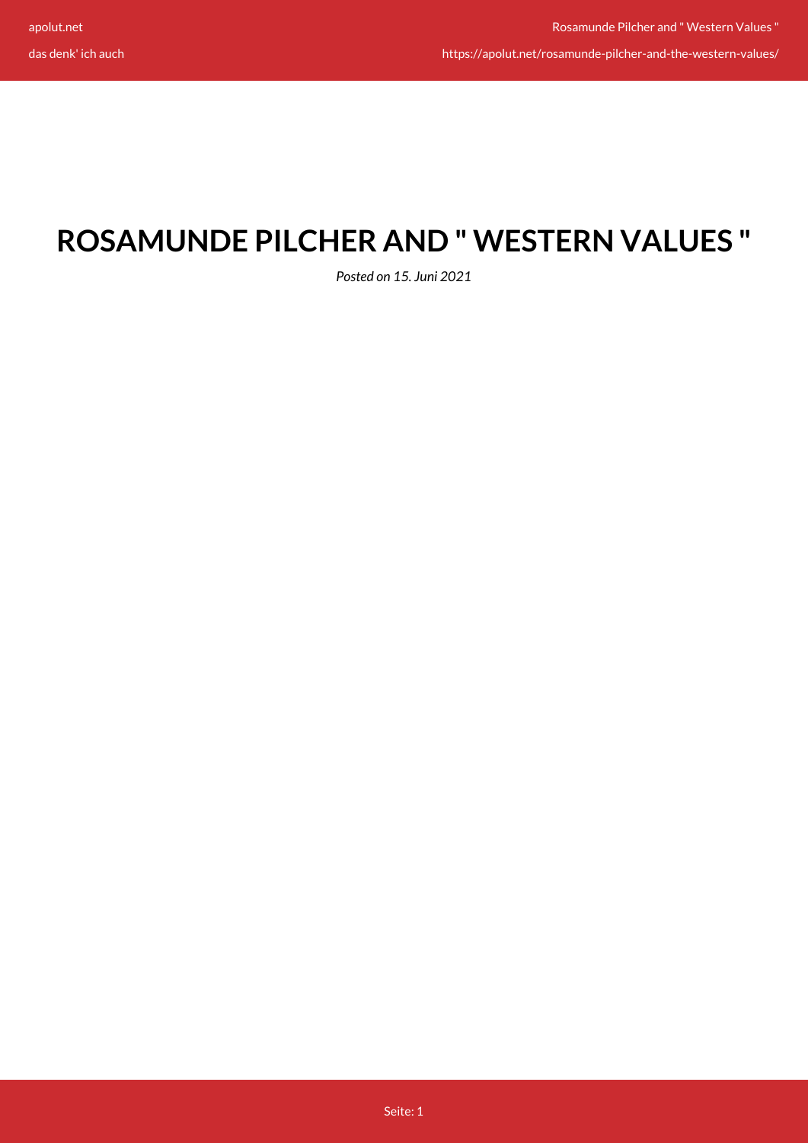https://apolut.net/rosamunde-pilcher-and-the-western-values/

## **ROSAMUNDE PILCHER AND " WESTERN VALUES "**

*Posted on 15. Juni 2021*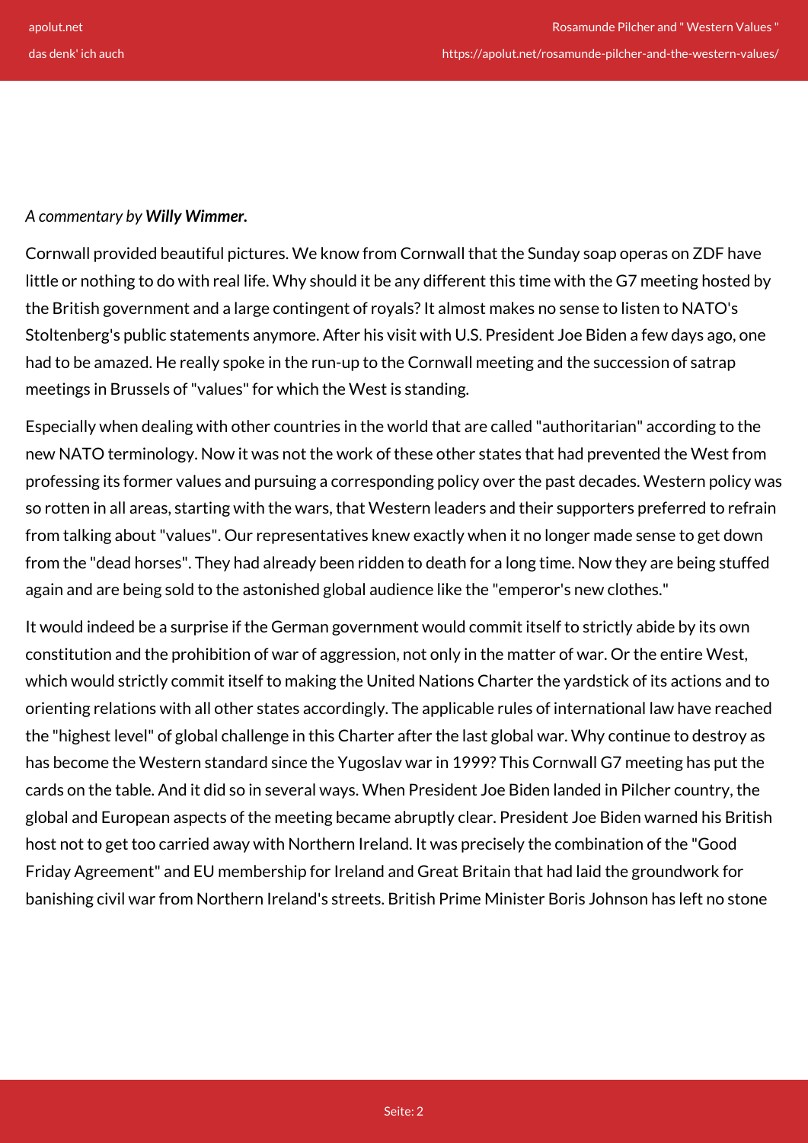## *A commentary by Willy Wimmer.*

Cornwall provided beautiful pictures. We know from Cornwall that the Sunday soap operas on ZDF have little or nothing to do with real life. Why should it be any different this time with the G7 meeting hosted by the British government and a large contingent of royals? It almost makes no sense to listen to NATO's Stoltenberg's public statements anymore. After his visit with U.S. President Joe Biden a few days ago, one had to be amazed. He really spoke in the run-up to the Cornwall meeting and the succession of satrap meetings in Brussels of "values" for which the West is standing.

Especially when dealing with other countries in the world that are called "authoritarian" according to the new NATO terminology. Now it was not the work of these other states that had prevented the West from professing its former values and pursuing a corresponding policy over the past decades. Western policy was so rotten in all areas, starting with the wars, that Western leaders and their supporters preferred to refrain from talking about "values". Our representatives knew exactly when it no longer made sense to get down from the "dead horses". They had already been ridden to death for a long time. Now they are being stuffed again and are being sold to the astonished global audience like the "emperor's new clothes."

It would indeed be a surprise if the German government would commit itself to strictly abide by its own constitution and the prohibition of war of aggression, not only in the matter of war. Or the entire West, which would strictly commit itself to making the United Nations Charter the yardstick of its actions and to orienting relations with all other states accordingly. The applicable rules of international law have reached the "highest level" of global challenge in this Charter after the last global war. Why continue to destroy as has become the Western standard since the Yugoslav war in 1999? This Cornwall G7 meeting has put the cards on the table. And it did so in several ways. When President Joe Biden landed in Pilcher country, the global and European aspects of the meeting became abruptly clear. President Joe Biden warned his British host not to get too carried away with Northern Ireland. It was precisely the combination of the "Good Friday Agreement" and EU membership for Ireland and Great Britain that had laid the groundwork for banishing civil war from Northern Ireland's streets. British Prime Minister Boris Johnson has left no stone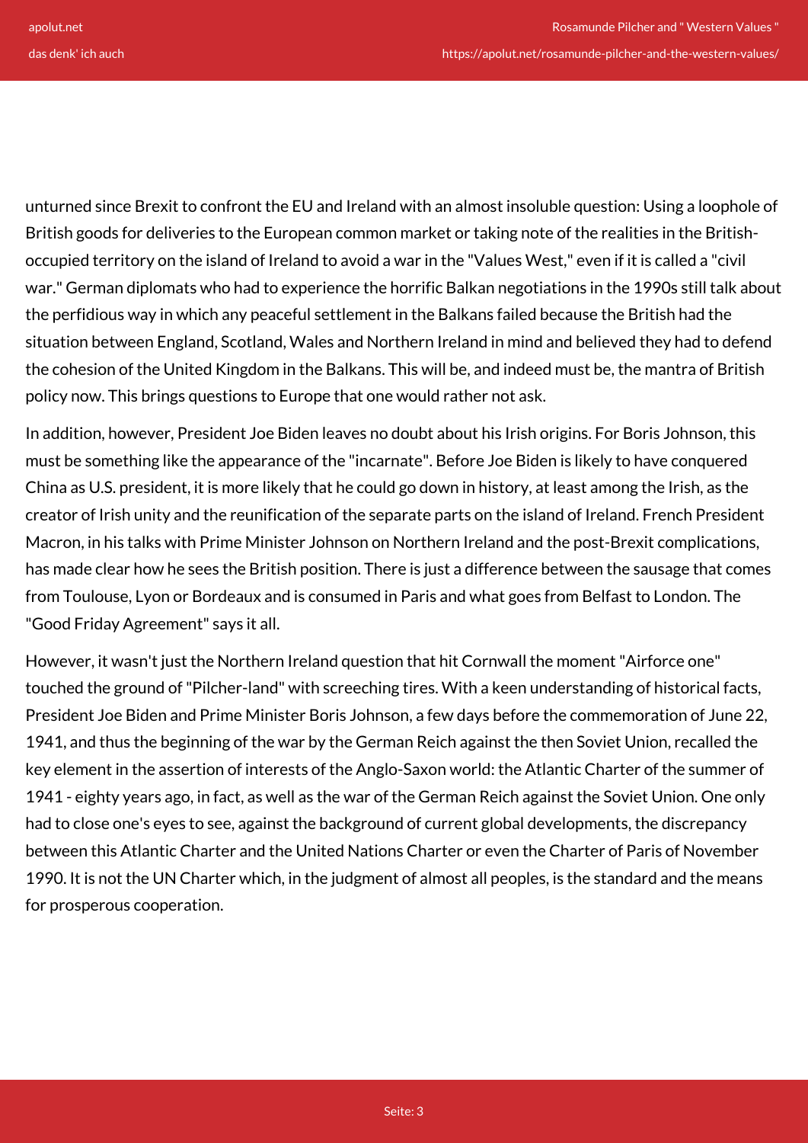unturned since Brexit to confront the EU and Ireland with an almost insoluble question: Using a loophole of British goods for deliveries to the European common market or taking note of the realities in the Britishoccupied territory on the island of Ireland to avoid a war in the "Values West," even if it is called a "civil war." German diplomats who had to experience the horrific Balkan negotiations in the 1990s still talk about the perfidious way in which any peaceful settlement in the Balkans failed because the British had the situation between England, Scotland, Wales and Northern Ireland in mind and believed they had to defend the cohesion of the United Kingdom in the Balkans. This will be, and indeed must be, the mantra of British policy now. This brings questions to Europe that one would rather not ask.

In addition, however, President Joe Biden leaves no doubt about his Irish origins. For Boris Johnson, this must be something like the appearance of the "incarnate". Before Joe Biden is likely to have conquered China as U.S. president, it is more likely that he could go down in history, at least among the Irish, as the creator of Irish unity and the reunification of the separate parts on the island of Ireland. French President Macron, in his talks with Prime Minister Johnson on Northern Ireland and the post-Brexit complications, has made clear how he sees the British position. There is just a difference between the sausage that comes from Toulouse, Lyon or Bordeaux and is consumed in Paris and what goes from Belfast to London. The "Good Friday Agreement" says it all.

However, it wasn't just the Northern Ireland question that hit Cornwall the moment "Airforce one" touched the ground of "Pilcher-land" with screeching tires. With a keen understanding of historical facts, President Joe Biden and Prime Minister Boris Johnson, a few days before the commemoration of June 22, 1941, and thus the beginning of the war by the German Reich against the then Soviet Union, recalled the key element in the assertion of interests of the Anglo-Saxon world: the Atlantic Charter of the summer of 1941 - eighty years ago, in fact, as well as the war of the German Reich against the Soviet Union. One only had to close one's eyes to see, against the background of current global developments, the discrepancy between this Atlantic Charter and the United Nations Charter or even the Charter of Paris of November 1990. It is not the UN Charter which, in the judgment of almost all peoples, is the standard and the means for prosperous cooperation.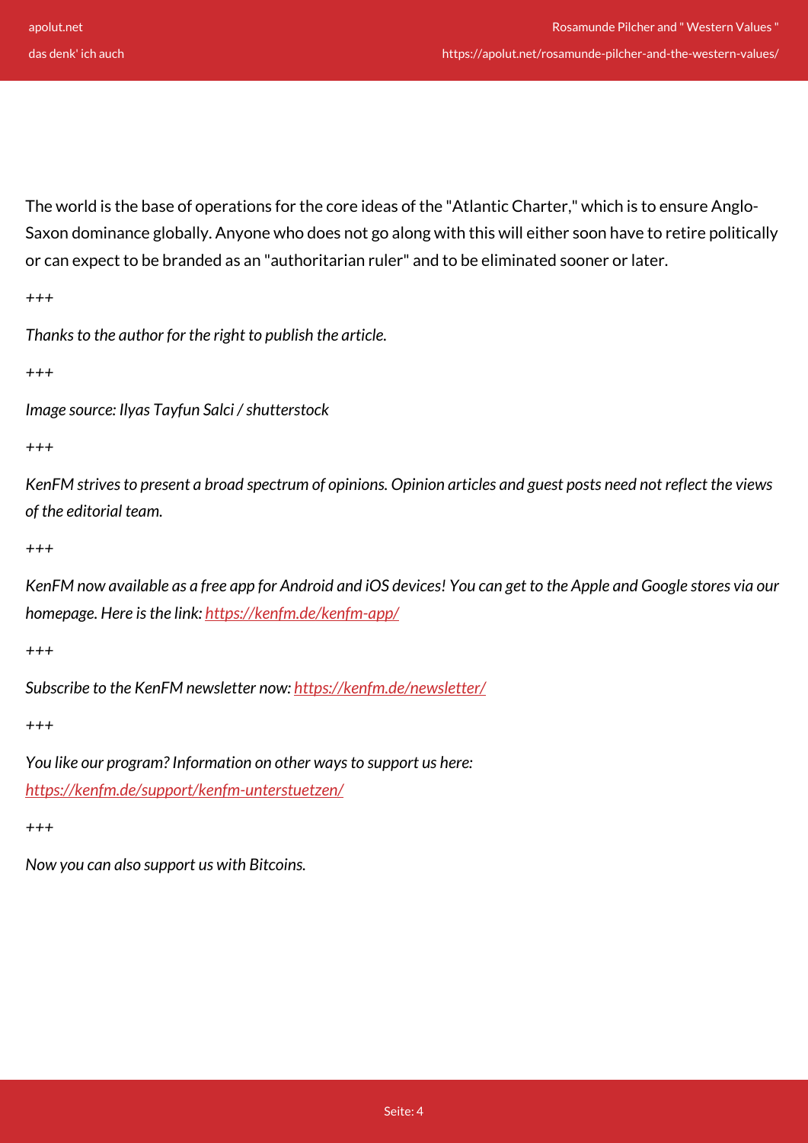The world is the base of operations for the core ideas of the "Atlantic Charter," which is to ensure Anglo-Saxon dominance globally. Anyone who does not go along with this will either soon have to retire politically or can expect to be branded as an "authoritarian ruler" and to be eliminated sooner or later.

*+++*

*Thanks to the author for the right to publish the article.*

*+++*

*Image source: Ilyas Tayfun Salci / shutterstock*

*+++*

*KenFM strives to present a broad spectrum of opinions. Opinion articles and guest posts need not reflect the views of the editorial team.*

*+++*

*KenFM now available as a free app for Android and iOS devices! You can get to the Apple and Google stores via our homepage. Here is the link:<https://kenfm.de/kenfm-app/>*

*+++*

*Subscribe to the KenFM newsletter now: <https://kenfm.de/newsletter/>*

*+++*

*You like our program? Information on other ways to support us here: <https://kenfm.de/support/kenfm-unterstuetzen/>*

*+++*

*Now you can also support us with Bitcoins.*